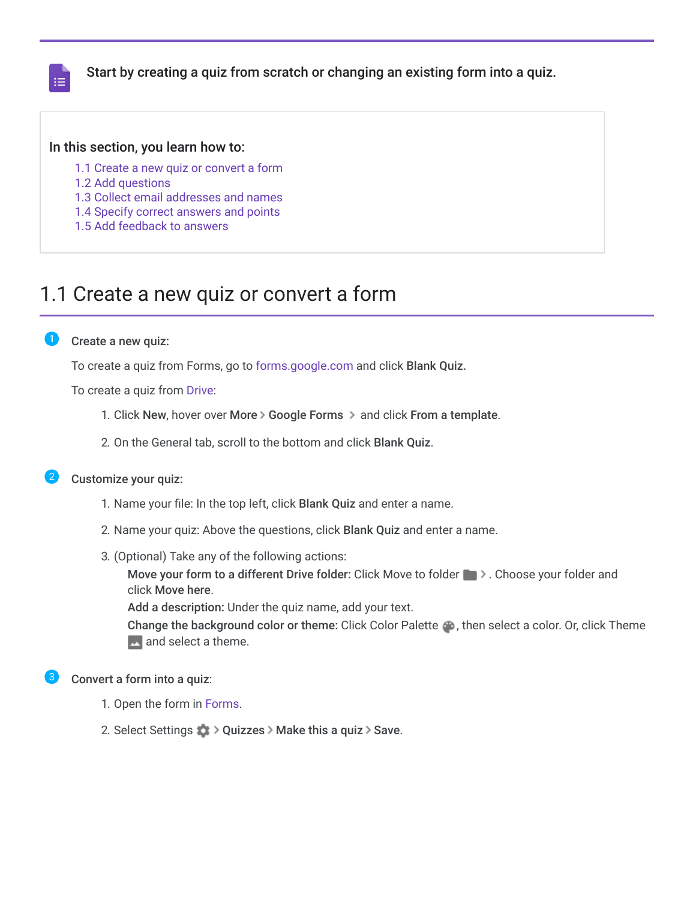

Start by creating a quiz from scratch or changing an existing form into a quiz.

### In this section, you learn how to:

- [1.1 Create a new quiz or convert a form](https://support.google.com/a/users/answer/9310255?hl=en&authuser=2&ref_topic=9300018#1.1)
- [1.2 Add questions](https://support.google.com/a/users/answer/9310255?hl=en&authuser=2&ref_topic=9300018#1.2)
- [1.3 Collect email addresses and names](https://support.google.com/a/users/answer/9310255?hl=en&authuser=2&ref_topic=9300018#1.3)
- [1.4 Specify correct answers and points](https://support.google.com/a/users/answer/9310255?hl=en&authuser=2&ref_topic=9300018#1.4)
- [1.5 Add feedback to answers](https://support.google.com/a/users/answer/9310255?hl=en&authuser=2&ref_topic=9300018#1.5)

### 1.1 Create a new quiz or convert a form

#### Create a new quiz:

To create a quiz from Forms, go to [forms.google.com](https://forms.google.com/) and click Blank Quiz.

To create a quiz from [Drive:](https://drive.google.com/)

- 1. Click New, hover over More > Google Forms > and click From a template.
- 2. On the General tab, scroll to the bottom and click Blank Quiz.

### Customize your quiz:

- 1. Name your file: In the top left, click Blank Quiz and enter a name.
- 2. Name your quiz: Above the questions, click Blank Quiz and enter a name.
- 3. (Optional) Take any of the following actions:

Move your form to a different Drive folder: Click Move to folder **.** > Choose your folder and click Move here.

Add a description: Under the quiz name, add your text.

Change the background color or theme: Click Color Palette , then select a color. Or, click Theme **A** and select a theme.

### Convert a form into a quiz:

- 1. Open the form in [Forms](https://forms.google.com/).
- 2. Select Settings  $\bullet$  > Quizzes > Make this a quiz > Save.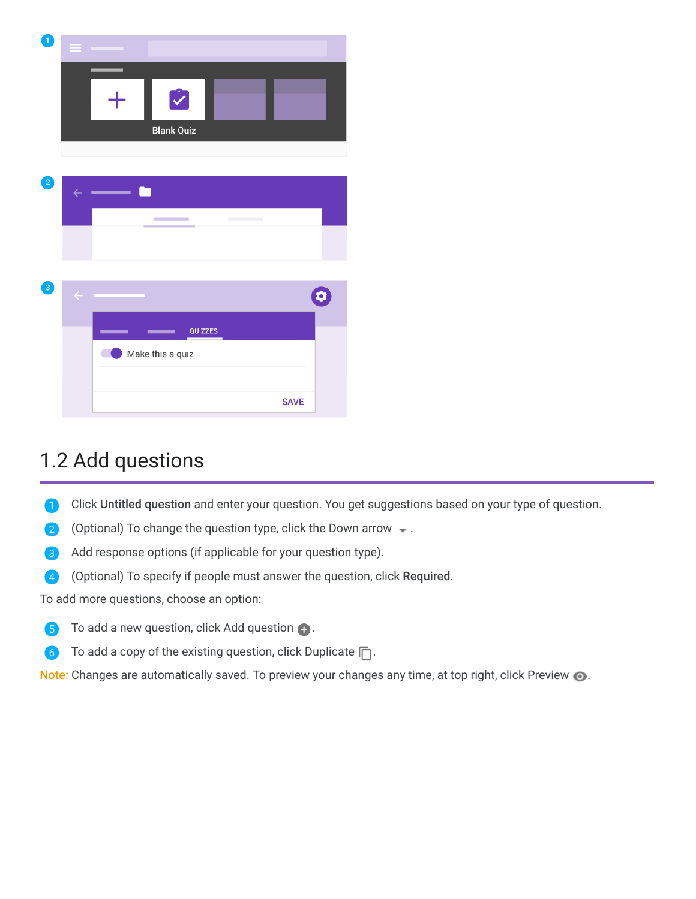| $\mathbf{1}$ | =            |                        |         |                                   |             |   |
|--------------|--------------|------------------------|---------|-----------------------------------|-------------|---|
|              |              | Ý<br><b>Blank Quiz</b> |         |                                   |             |   |
| 2            |              |                        |         |                                   |             |   |
|              | $\leftarrow$ |                        |         |                                   |             |   |
|              |              | <b>COL</b>             |         | <b>Contract Contract Contract</b> |             |   |
|              |              |                        |         |                                   |             |   |
| 3            | $\leftarrow$ |                        |         |                                   |             | ¢ |
|              |              |                        | QUIZZES |                                   |             |   |
|              |              | Make this a quiz       |         |                                   |             |   |
|              |              |                        |         |                                   | <b>SAVE</b> |   |

# 1.2 Add questions

- 0 Click Untitled question and enter your question. You get suggestions based on your type of question.
- 2 (Optional) To change the question type, click the Down arrow  $\bullet$ .
- Add response options (if applicable for your question type).
- (Optional) To specify if people must answer the question, click Required.  $\bullet$

To add more questions, choose an option:

- 6 To add a new question, click Add question  $\bigoplus$ .
- To add a copy of the existing question, click Duplicate  $\Box$ . 6

Note: Changes are automatically saved. To preview your changes any time, at top right, click Preview  $\bullet$ .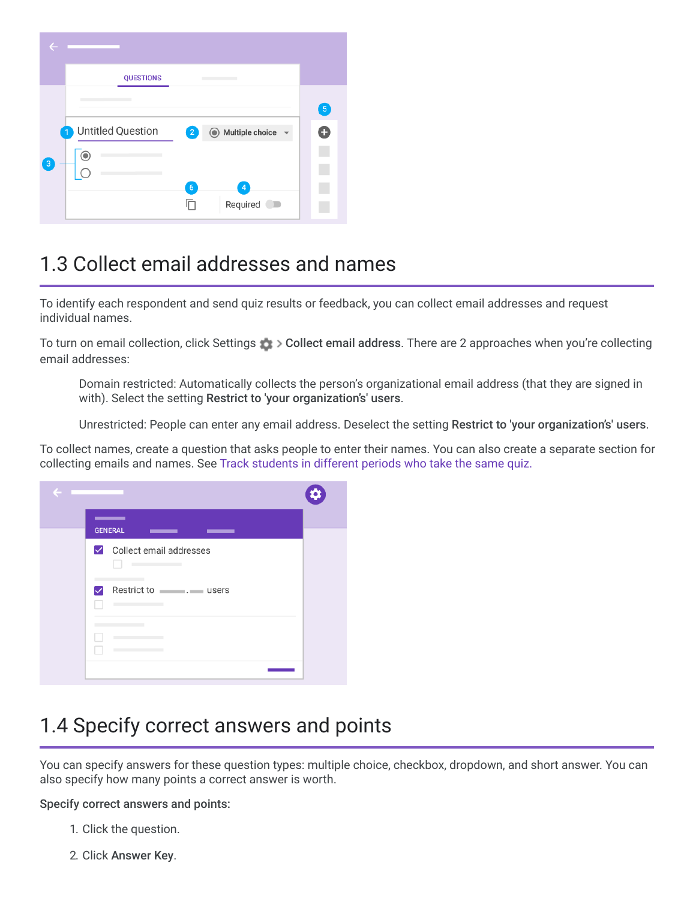|                  | <b>QUESTIONS</b>                                      |                |
|------------------|-------------------------------------------------------|----------------|
|                  |                                                       | 5 <sup>2</sup> |
|                  | Untitled Question<br>◯ Multiple choice<br>$\boxed{2}$ | ٠              |
| $\left(3\right)$ | G                                                     |                |
|                  | 6<br>D                                                |                |
|                  | Required<br>$\blacksquare$                            |                |

# 1.3 Collect email addresses and names

To identify each respondent and send quiz results or feedback, you can collect email addresses and request individual names.

To turn on email collection, click Settings Collect email address. There are 2 approaches when you're collecting email addresses:

Domain restricted: Automatically collects the person's organizational email address (that they are signed in with). Select the setting Restrict to 'your organization's' users.

Unrestricted: People can enter any email address. Deselect the setting Restrict to 'your organization's' users.

To collect names, create a question that asks people to enter their names. You can also create a separate section for collecting emails and names. See [Track students in different periods who take the same quiz.](https://support.google.com/a/users/answer/9308966)



# 1.4 Specify correct answers and points

You can specify answers for these question types: multiple choice, checkbox, dropdown, and short answer. You can also specify how many points a correct answer is worth.

Specify correct answers and points:

- 1. Click the question.
- 2. Click Answer Key.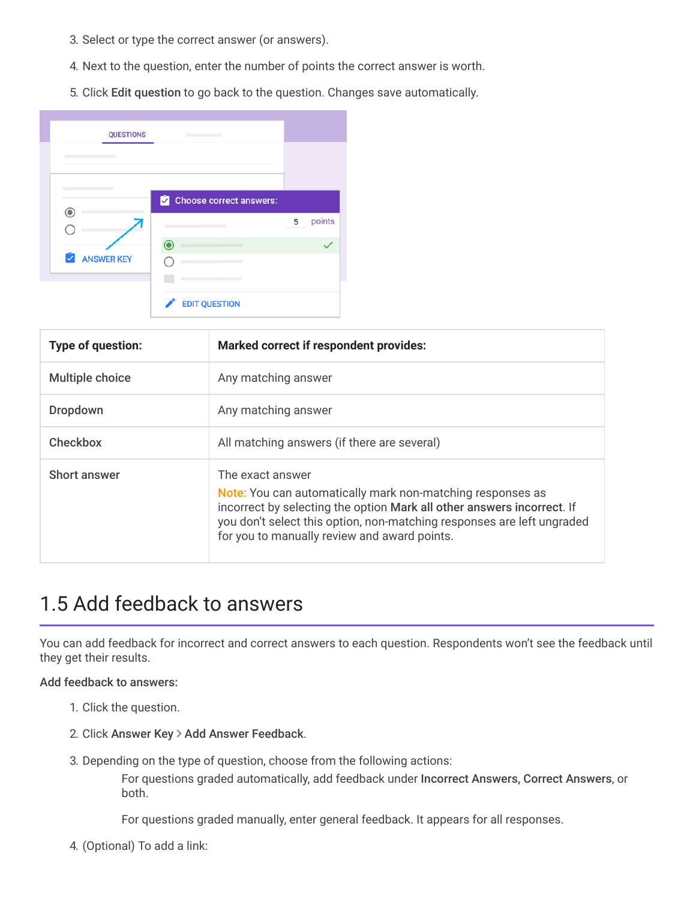- 3. Select or type the correct answer (or answers).
- 4. Next to the question, enter the number of points the correct answer is worth.
- 5. Click Edit question to go back to the question. Changes save automatically.

| <b>QUESTIONS</b>       |                         |   |        |
|------------------------|-------------------------|---|--------|
|                        |                         |   |        |
|                        |                         |   |        |
|                        | Choose correct answers: |   |        |
|                        |                         | 5 | points |
|                        |                         |   |        |
|                        |                         |   |        |
| U<br><b>ANSWER KEY</b> |                         |   |        |
|                        |                         |   |        |

| Type of question:      | <b>Marked correct if respondent provides:</b>                                                                                                                                                                                                                                             |
|------------------------|-------------------------------------------------------------------------------------------------------------------------------------------------------------------------------------------------------------------------------------------------------------------------------------------|
| <b>Multiple choice</b> | Any matching answer                                                                                                                                                                                                                                                                       |
| <b>Dropdown</b>        | Any matching answer                                                                                                                                                                                                                                                                       |
| Checkbox               | All matching answers (if there are several)                                                                                                                                                                                                                                               |
| Short answer           | The exact answer<br><b>Note:</b> You can automatically mark non-matching responses as<br>incorrect by selecting the option Mark all other answers incorrect. If<br>you don't select this option, non-matching responses are left ungraded<br>for you to manually review and award points. |

# 1.5 Add feedback to answers

You can add feedback for incorrect and correct answers to each question. Respondents won't see the feedback until they get their results.

### Add feedback to answers:

- 1. Click the question.
- 2. Click Answer Key > Add Answer Feedback.
- 3. Depending on the type of question, choose from the following actions:

For questions graded automatically, add feedback under Incorrect Answers, Correct Answers, or both.

For questions graded manually, enter general feedback. It appears for all responses.

4. (Optional) To add a link: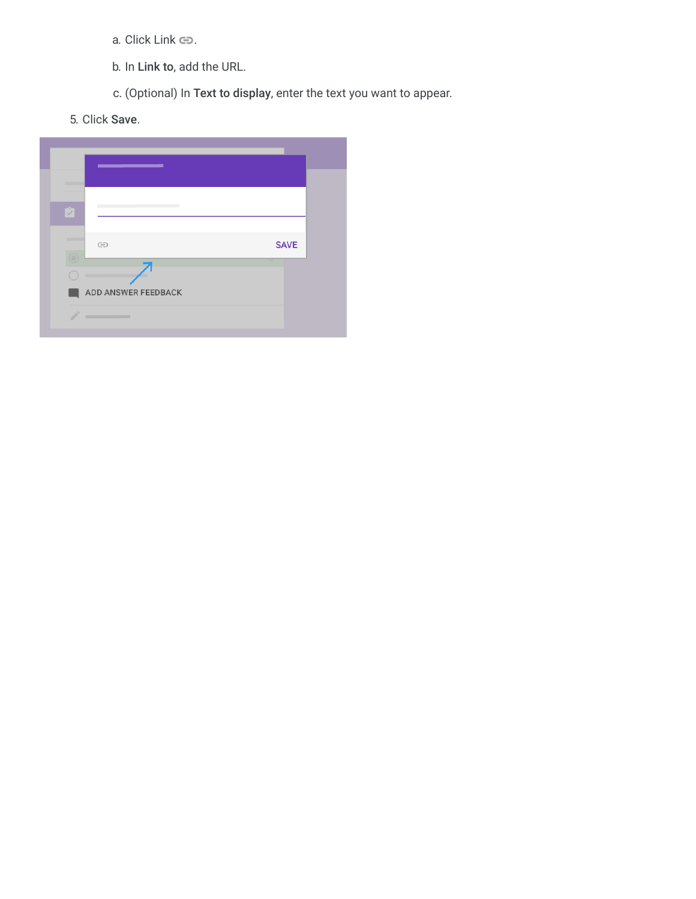- a. Click Link  $\oplus$ .
- b. In Link to, add the URL.
- c. (Optional) In Text to display, enter the text you want to appear.
- 5. Click Save.

| the control of the control of the |             |
|-----------------------------------|-------------|
|                                   |             |
| U                                 |             |
| $\ominus$                         | <b>SAVE</b> |
| ADD ANSWER FEEDBACK<br>╌          |             |
|                                   |             |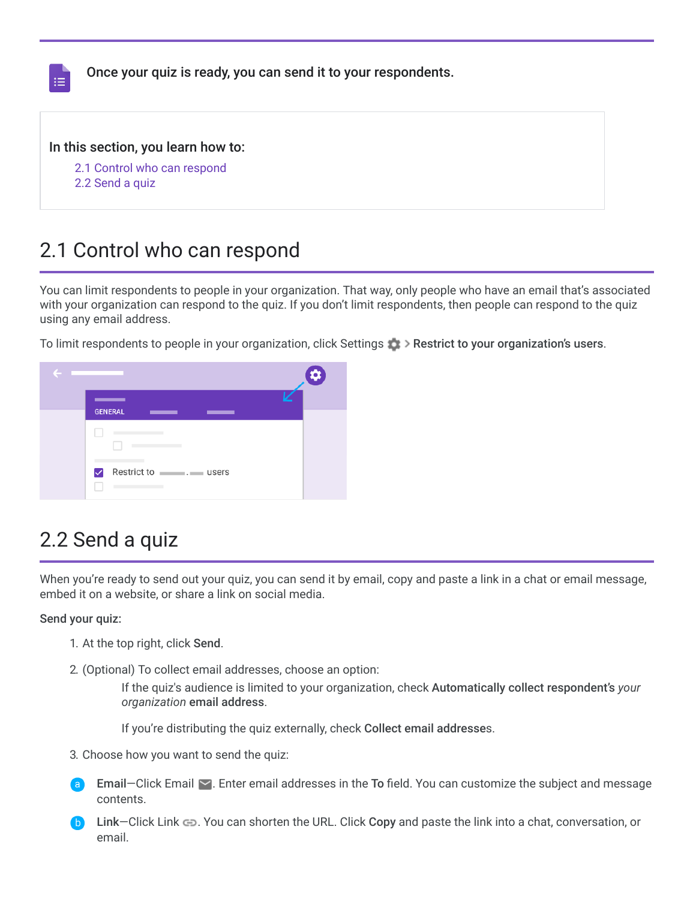| 挂 | Once your quiz is ready, you can send it to your respondents.                        |  |
|---|--------------------------------------------------------------------------------------|--|
|   | In this section, you learn how to:<br>2.1 Control who can respond<br>2.2 Send a quiz |  |

# 2.1 Control who can respond

You can limit respondents to people in your organization. That way, only people who have an email that's associated with your organization can respond to the quiz. If you don't limit respondents, then people can respond to the quiz using any email address.

To limit respondents to people in your organization, click Settings Restrict to your organization's users.



# 2.2 Send a quiz

When you're ready to send out your quiz, you can send it by email, copy and paste a link in a chat or email message, embed it on a website, or share a link on social media.

### Send your quiz:

- 1. At the top right, click Send.
- 2. (Optional) To collect email addresses, choose an option:

If the quiz's audience is limited to your organization, check Automatically collect respondent's *your organization* email address.

If you're distributing the quiz externally, check Collect email addresses.

- 3. Choose how you want to send the quiz:
- **Email–Click Email**  $\triangledown$ **. Enter email addresses in the To field. You can customize the subject and message** contents.
- Link–Click Link  $\bullet$ . You can shorten the URL. Click Copy and paste the link into a chat, conversation, or email.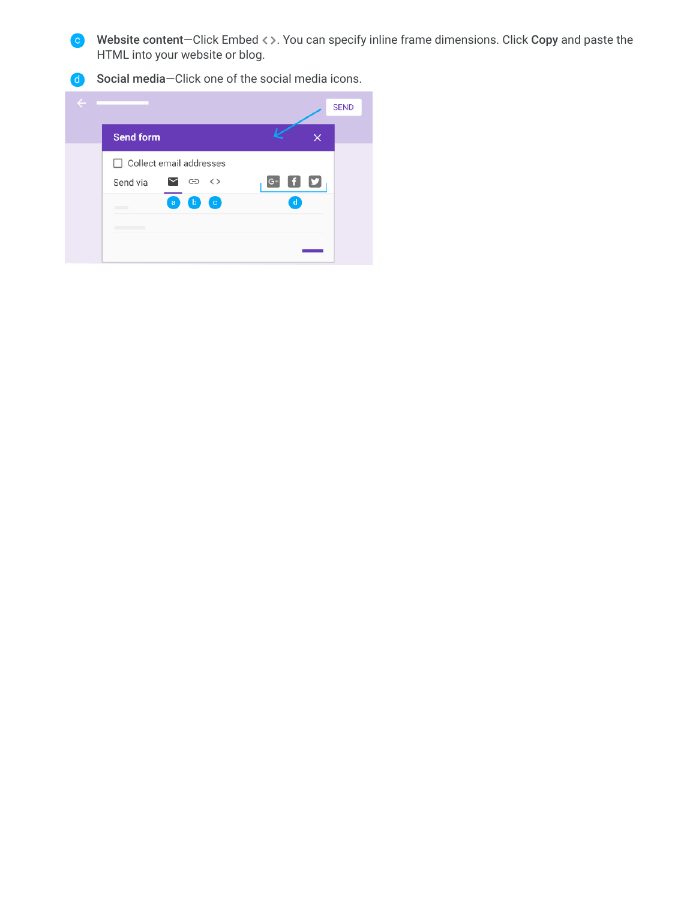Website content-Click Embed  $\leftrightarrow$ . You can specify inline frame dimensions. Click Copy and paste the HTML into your website or blog.

**d** Social media-Click one of the social media icons.

| e |                  |                                         | <b>SEND</b>                          |
|---|------------------|-----------------------------------------|--------------------------------------|
|   | <b>Send form</b> |                                         | ×                                    |
|   |                  | $\Box$ Collect email addresses          |                                      |
|   | Send via         | ⊻ ⇔ ⇔                                   | $\mathbf{H}$ $\mathbf{S}_1$<br>$G^+$ |
|   |                  | $\bullet$<br>$\epsilon$<br>$\mathbf{b}$ | $\mathbf d$                          |
|   |                  |                                         |                                      |
|   |                  |                                         |                                      |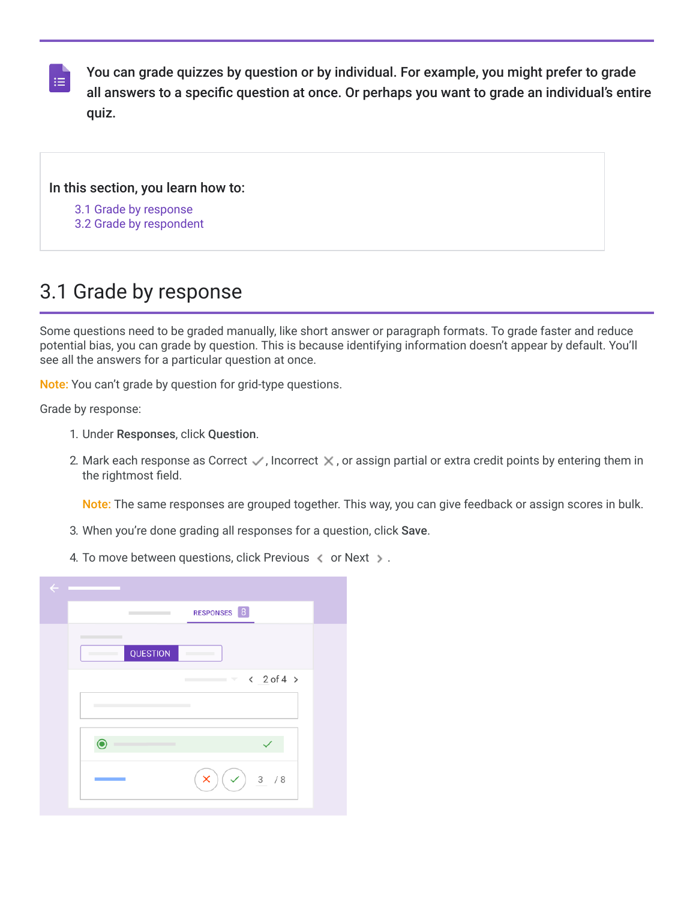You can grade quizzes by question or by individual. For example, you might prefer to grade all answers to a specific question at once. Or perhaps you want to grade an individual's entire quiz.

### In this section, you learn how to:

- [3.1 Grade by response](https://support.google.com/a/users/answer/9310469?hl=en&authuser=2&ref_topic=9300018#3.1)
- [3.2 Grade by respondent](https://support.google.com/a/users/answer/9310469?hl=en&authuser=2&ref_topic=9300018#3.2)

# 3.1 Grade by response

Some questions need to be graded manually, like short answer or paragraph formats. To grade faster and reduce potential bias, you can grade by question. This is because identifying information doesn't appear by default. You'll see all the answers for a particular question at once.

Note: You can't grade by question for grid-type questions.

Grade by response:

 $\equiv$ 

- 1. Under Responses, click Question.
- 2. Mark each response as Correct  $\vee$ , Incorrect  $\times$ , or assign partial or extra credit points by entering them in the rightmost field.

Note: The same responses are grouped together. This way, you can give feedback or assign scores in bulk.

- 3. When you're done grading all responses for a question, click Save.
- 4. To move between questions, click Previous  $\langle$  or Next  $\rangle$ .

| $\leftarrow$ |                                                  |  |
|--------------|--------------------------------------------------|--|
|              | RESPONSES 8<br><b>Contract Contract Contract</b> |  |
|              | _____<br>QUESTION                                |  |
|              | $\sim$ < 2 of 4 >                                |  |
|              |                                                  |  |
|              |                                                  |  |
|              | 3 / 8<br>$\checkmark$<br>×                       |  |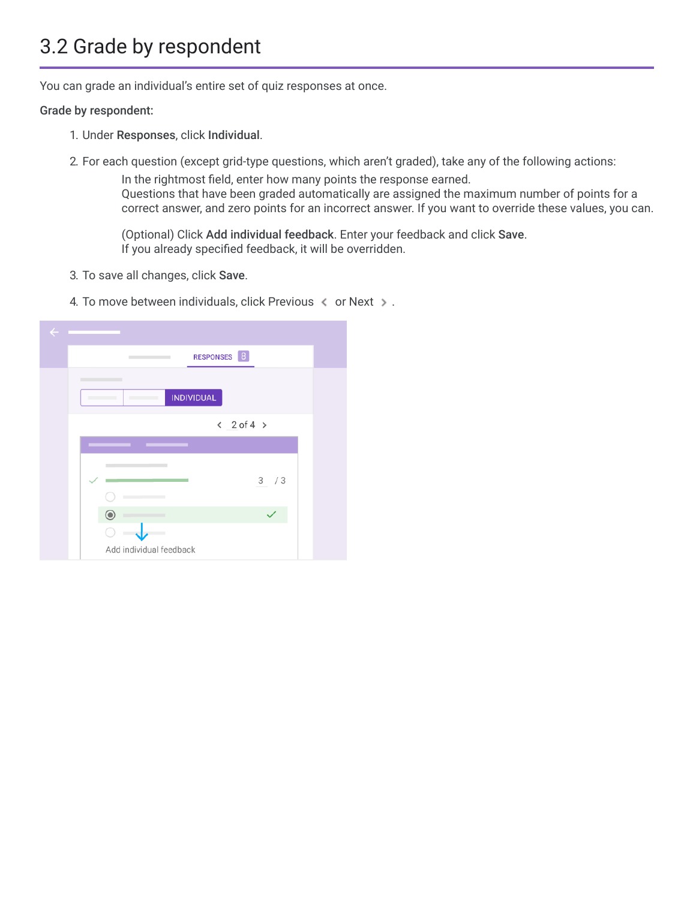# 3.2 Grade by respondent

You can grade an individual's entire set of quiz responses at once.

### Grade by respondent:

- 1. Under Responses, click Individual.
- 2. For each question (except grid-type questions, which aren't graded), take any of the following actions:

In the rightmost field, enter how many points the response earned. Questions that have been graded automatically are assigned the maximum number of points for a correct answer, and zero points for an incorrect answer. If you want to override these values, you can.

(Optional) Click Add individual feedback. Enter your feedback and click Save. If you already specified feedback, it will be overridden.

- 3. To save all changes, click Save.
- 4. To move between individuals, click Previous  $\leq$  or Next  $\geq$ .

| $\leftarrow$                         |
|--------------------------------------|
| RESPONSES 8<br>÷                     |
|                                      |
| <b>INDIVIDUAL</b>                    |
| $\langle 2$ of 4 $\rangle$           |
|                                      |
| 3/3                                  |
| $\bullet$<br>Add individual feedback |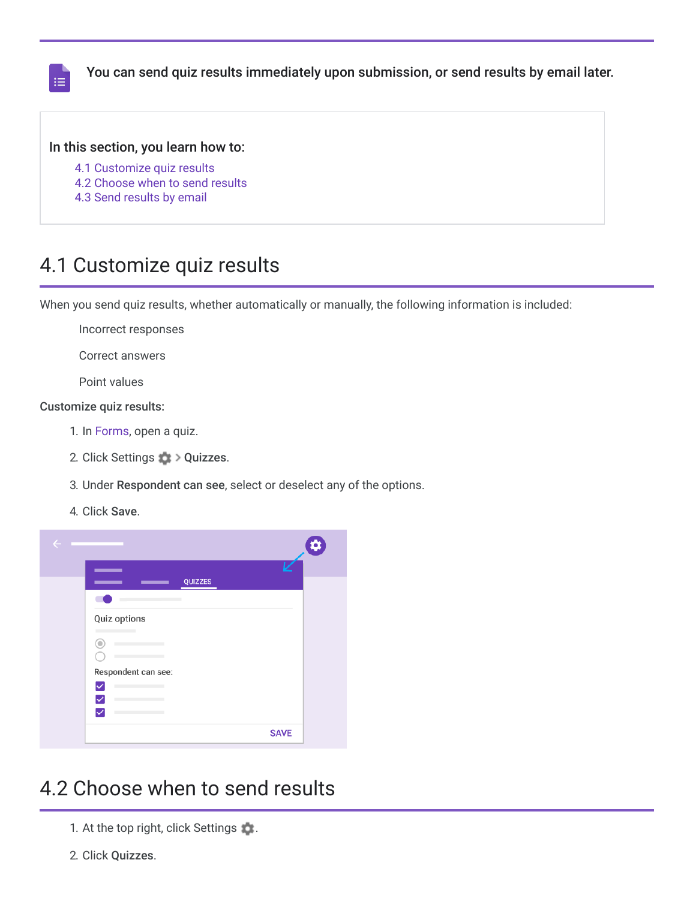

You can send quiz results immediately upon submission, or send results by email later.

### In this section, you learn how to:

- [4.1 Customize quiz results](https://support.google.com/a/users/answer/9310163?hl=en&authuser=2&ref_topic=9300018#4.1)
- [4.2 Choose when to send results](https://support.google.com/a/users/answer/9310163?hl=en&authuser=2&ref_topic=9300018#4.2)
- [4.3 Send results by email](https://support.google.com/a/users/answer/9310163?hl=en&authuser=2&ref_topic=9300018#4.3)

## 4.1 Customize quiz results

When you send quiz results, whether automatically or manually, the following information is included:

Incorrect responses

Correct answers

Point values

### Customize quiz results:

- 1. In [Forms,](https://forms.google.com/) open a quiz.
- 2. Click Settings  $\frac{1}{200}$  > Quizzes.
- 3. Under Respondent can see, select or deselect any of the options.
- 4. Click Save.



## 4.2 Choose when to send results

- 1. At the top right, click Settings ...
- 2. Click Quizzes.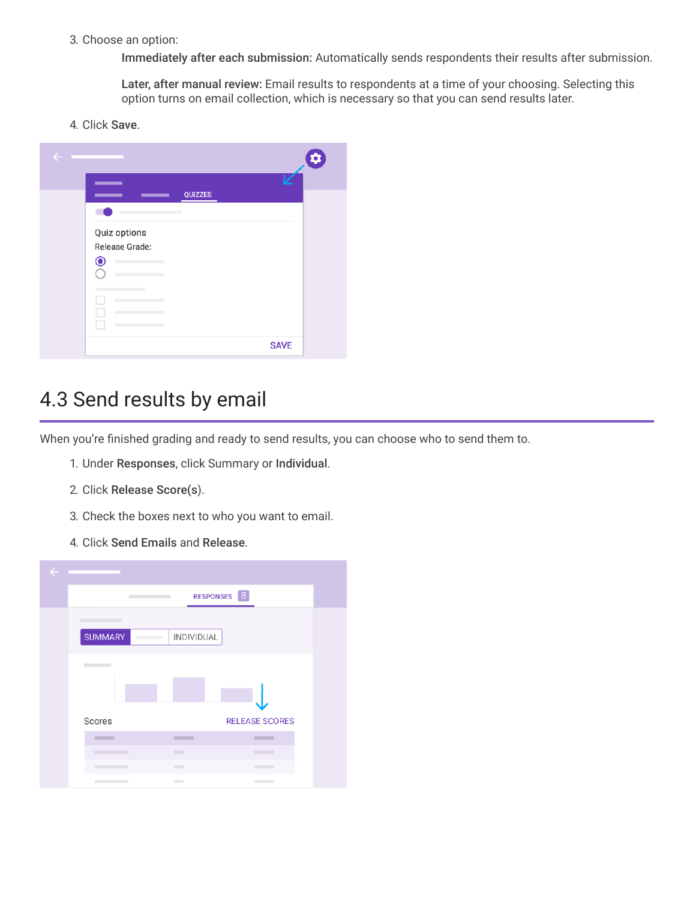### 3. Choose an option:

Immediately after each submission: Automatically sends respondents their results after submission.

Later, after manual review: Email results to respondents at a time of your choosing. Selecting this option turns on email collection, which is necessary so that you can send results later.

4. Click Save.



# 4.3 Send results by email

When you're finished grading and ready to send results, you can choose who to send them to.

- 1. Under Responses, click Summary or Individual.
- 2. Click Release Score(s).
- 3. Check the boxes next to who you want to email.
- 4. Click Send Emails and Release.